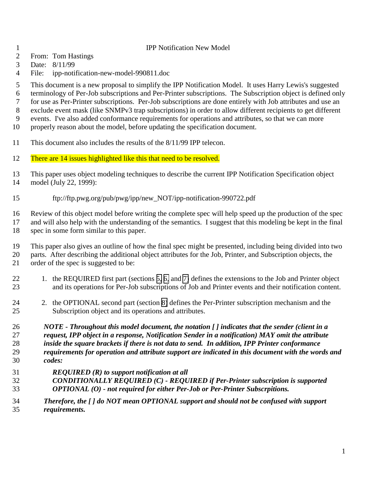### IPP Notification New Model

- From: Tom Hastings
- Date: 8/11/99
- File: ipp-notification-new-model-990811.doc

This document is a new proposal to simplify the IPP Notification Model. It uses Harry Lewis's suggested

terminology of Per-Job subscriptions and Per-Printer subscriptions. The Subscription object is defined only

for use as Per-Printer subscriptions. Per-Job subscriptions are done entirely with Job attributes and use an

exclude event mask (like SNMPv3 trap subscriptions) in order to allow different recipients to get different

events. I've also added conformance requirements for operations and attributes, so that we can more

- properly reason about the model, before updating the specification document.
- This document also includes the results of the 8/11/99 IPP telecon.
- 12 There are 14 issues highlighted like this that need to be resolved.
- This paper uses object modeling techniques to describe the current IPP Notification Specification object model (July 22, 1999):
- ftp://ftp.pwg.org/pub/pwg/ipp/new\_NOT/ipp-notification-990722.pdf

 Review of this object model before writing the complete spec will help speed up the production of the spec and will also help with the understanding of the semantics. I suggest that this modeling be kept in the final spec in some form similar to this paper.

 This paper also gives an outline of how the final spec might be presented, including being divided into two parts. After describing the additional object attributes for the Job, Printer, and Subscription objects, the order of the spec is suggested to be:

- 22 1. the REQUIRED first part (sections [5,](#page-10-0) [6,](#page-12-0) and [7\)](#page-14-0) defines the extensions to the Job and Printer object and its operations for Per-Job subscriptions of Job and Printer events and their notification content.
- 24 2. the OPTIONAL second part (section [8\)](#page-15-0) defines the Per-Printer subscription mechanism and the Subscription object and its operations and attributes.

 *NOTE - Throughout this model document, the notation [ ] indicates that the sender (client in a request, IPP object in a response, Notification Sender in a notification) MAY omit the attribute inside the square brackets if there is not data to send. In addition, IPP Printer conformance requirements for operation and attribute support are indicated in this document with the words and codes:*

- *REQUIRED (R) to support notification at all*
- *CONDITIONALLY REQUIRED (C) REQUIRED if Per-Printer subscription is supported OPTIONAL (O) - not required for either Per-Job or Per-Printer Subscrpitions.*
- *Therefore, the [ ] do NOT mean OPTIONAL support and should not be confused with support requirements.*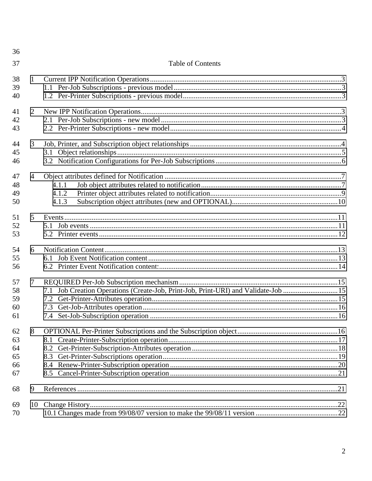| 36 |                |                                                                                    |  |
|----|----------------|------------------------------------------------------------------------------------|--|
| 37 |                | <b>Table of Contents</b>                                                           |  |
| 38 | $\mathbf{1}$   |                                                                                    |  |
| 39 |                |                                                                                    |  |
| 40 |                |                                                                                    |  |
| 41 | 2              |                                                                                    |  |
| 42 |                |                                                                                    |  |
| 43 |                |                                                                                    |  |
| 44 | 3              |                                                                                    |  |
| 45 |                |                                                                                    |  |
| 46 |                |                                                                                    |  |
| 47 | $\overline{4}$ |                                                                                    |  |
| 48 |                | 4.1.1                                                                              |  |
| 49 |                | 4.1.2                                                                              |  |
| 50 |                | 4.1.3                                                                              |  |
| 51 | 5              |                                                                                    |  |
| 52 |                |                                                                                    |  |
| 53 |                |                                                                                    |  |
| 54 | 6              |                                                                                    |  |
| 55 |                |                                                                                    |  |
| 56 |                |                                                                                    |  |
| 57 | $\tau$         |                                                                                    |  |
| 58 |                | 7.1 Job Creation Operations (Create-Job, Print-Job, Print-URI) and Validate-Job 15 |  |
| 59 |                |                                                                                    |  |
| 60 |                | 7.3                                                                                |  |
| 61 |                |                                                                                    |  |
| 62 | 8              |                                                                                    |  |
| 63 |                |                                                                                    |  |
| 64 |                | 8.2                                                                                |  |
| 65 |                | 8.3                                                                                |  |
| 66 |                |                                                                                    |  |
| 67 |                |                                                                                    |  |
| 68 | 9              |                                                                                    |  |
| 69 |                |                                                                                    |  |
| 70 |                |                                                                                    |  |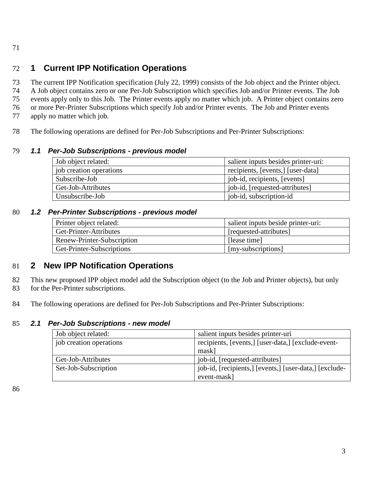#### <span id="page-2-0"></span>71

# 72 **1 Current IPP Notification Operations**

73 The current IPP Notification specification (July 22, 1999) consists of the Job object and the Printer object. 74 A Job object contains zero or one Per-Job Subscription which specifies Job and/or Printer events. The Job

75 events apply only to this Job. The Printer events apply no matter which job. A Printer object contains zero

76 or more Per-Printer Subscriptions which specify Job and/or Printer events. The Job and Printer events

- 77 apply no matter which job.
- 78 The following operations are defined for Per-Job Subscriptions and Per-Printer Subscriptions:

# 79 *1.1 Per-Job Subscriptions - previous model*

| Job object related:     | salient inputs besides printer-uri: |  |  |
|-------------------------|-------------------------------------|--|--|
| job creation operations | recipients, [events,] [user-data]   |  |  |
| Subscribe-Job           | job-id, recipients, [events]        |  |  |
| Get-Job-Attributes      | job-id, [requested-attributes]      |  |  |
| Unsubscribe-Job         | job-id, subscription-id             |  |  |

# 80 *1.2 Per-Printer Subscriptions - previous model*

| Printer object related:    | salient inputs beside printer-uri: |
|----------------------------|------------------------------------|
| Get-Printer-Attributes     | [requested-attributes]             |
| Renew-Printer-Subscription | [lease time]                       |
| Get-Printer-Subscriptions  | [my-subscriptions]                 |

# 81 **2 New IPP Notification Operations**

82 This new proposed IPP object model add the Subscription object (to the Job and Printer objects), but only

83 for the Per-Printer subscriptions.

84 The following operations are defined for Per-Job Subscriptions and Per-Printer Subscriptions:

# 85 *2.1 Per-Job Subscriptions - new model*

| Job object related:     | salient inputs besides printer-uri                     |  |  |
|-------------------------|--------------------------------------------------------|--|--|
| job creation operations | recipients, [events,] [user-data,] [exclude-event-     |  |  |
|                         | mask]                                                  |  |  |
| Get-Job-Attributes      | job-id, [requested-attributes]                         |  |  |
| Set-Job-Subscription    | job-id, [recipients,] [events,] [user-data,] [exclude- |  |  |
|                         | event-mask]                                            |  |  |

86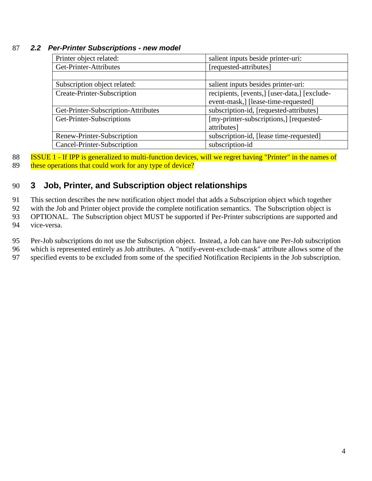### <span id="page-3-0"></span>87 *2.2 Per-Printer Subscriptions - new model*

| Printer object related:             | salient inputs beside printer-uri:           |
|-------------------------------------|----------------------------------------------|
| Get-Printer-Attributes              | [requested-attributes]                       |
|                                     |                                              |
| Subscription object related:        | salient inputs besides printer-uri:          |
| Create-Printer-Subscription         | recipients, [events,] [user-data,] [exclude- |
|                                     | event-mask,] [lease-time-requested]          |
| Get-Printer-Subscription-Attributes | subscription-id, [requested-attributes]      |
| Get-Printer-Subscriptions           | [my-printer-subscriptions,] [requested-      |
|                                     | attributes]                                  |
| Renew-Printer-Subscription          | subscription-id, [lease time-requested]      |
| Cancel-Printer-Subscription         | subscription-id                              |

88 **ISSUE 1 - If IPP is generalized to multi-function devices, will we regret having "Printer" in the names of** 89 these operations that could work for any type of device?

# 90 **3 Job, Printer, and Subscription object relationships**

91 This section describes the new notification object model that adds a Subscription object which together

92 with the Job and Printer object provide the complete notification semantics. The Subscription object is

93 OPTIONAL. The Subscription object MUST be supported if Per-Printer subscriptions are supported and

94 vice-versa.

95 Per-Job subscriptions do not use the Subscription object. Instead, a Job can have one Per-Job subscription

96 which is represented entirely as Job attributes. A "notify-event-exclude-mask" attribute allows some of the

97 specified events to be excluded from some of the specified Notification Recipients in the Job subscription.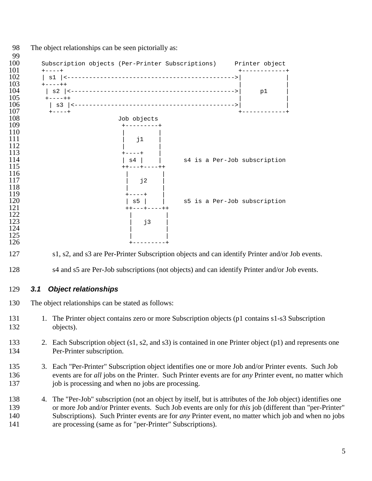<span id="page-4-0"></span>

|     | Subscription objects (Per-Printer Subscriptions) Printer object                                                                                                                                                                                                                                                              |    |  |
|-----|------------------------------------------------------------------------------------------------------------------------------------------------------------------------------------------------------------------------------------------------------------------------------------------------------------------------------|----|--|
|     |                                                                                                                                                                                                                                                                                                                              | p1 |  |
|     | $+ - - - + +$                                                                                                                                                                                                                                                                                                                |    |  |
|     |                                                                                                                                                                                                                                                                                                                              |    |  |
|     | Job objects                                                                                                                                                                                                                                                                                                                  |    |  |
|     | j1                                                                                                                                                                                                                                                                                                                           |    |  |
|     | s4 is a Per-Job subscription<br>s4 l<br>----+----++                                                                                                                                                                                                                                                                          |    |  |
|     | j2                                                                                                                                                                                                                                                                                                                           |    |  |
|     | s5 is a Per-Job subscription<br>$s5$  <br>++---+----++                                                                                                                                                                                                                                                                       |    |  |
|     | j3                                                                                                                                                                                                                                                                                                                           |    |  |
|     |                                                                                                                                                                                                                                                                                                                              |    |  |
|     | s1, s2, and s3 are Per-Printer Subscription objects and can identify Printer and/or Job events.                                                                                                                                                                                                                              |    |  |
|     | s4 and s5 are Per-Job subscriptions (not objects) and can identify Printer and/or Job events.                                                                                                                                                                                                                                |    |  |
| 3.1 | <b>Object relationships</b>                                                                                                                                                                                                                                                                                                  |    |  |
|     | The object relationships can be stated as follows:                                                                                                                                                                                                                                                                           |    |  |
|     | 1. The Printer object contains zero or more Subscription objects (p1 contains s1-s3 Subscription<br>objects).                                                                                                                                                                                                                |    |  |
|     | 2. Each Subscription object (s1, s2, and s3) is contained in one Printer object (p1) and represents one<br>Per-Printer subscription.                                                                                                                                                                                         |    |  |
|     | 3. Each "Per-Printer" Subscription object identifies one or more Job and/or Printer events. Such Job<br>events are for all jobs on the Printer. Such Printer events are for any Printer event, no matter which<br>job is processing and when no jobs are processing.                                                         |    |  |
|     | 4. The "Per-Job" subscription (not an object by itself, but is attributes of the Job object) identifies one<br>or more Job and/or Printer events. Such Job events are only for this job (different than "per-Printer"<br>Subscriptions). Such Printer events are for any Printer event, no matter which job and when no jobs |    |  |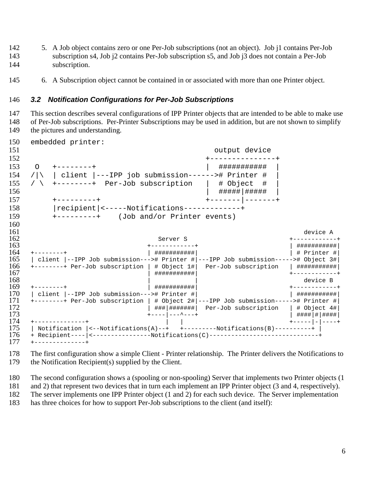- <span id="page-5-0"></span> 5. A Job object contains zero or one Per-Job subscriptions (not an object). Job j1 contains Per-Job subscription s4, Job j2 contains Per-Job subscription s5, and Job j3 does not contain a Per-Job subscription.
- 6. A Subscription object cannot be contained in or associated with more than one Printer object.

## *3.2 Notification Configurations for Per-Job Subscriptions*

 This section describes several configurations of IPP Printer objects that are intended to be able to make use of Per-Job subscriptions. Per-Printer Subscriptions may be used in addition, but are not shown to simplify the pictures and understanding.

```
150 embedded printer:
151 output device
152 +---------------+
153 O +--------+ | ########### |
154 / | client | ---IPP job submission------># Printer #
155 / \backslash +--------+ Per-Job subscription | # Object #
156 | #####|##### |
157 +---------+ +-------|-------+
158 |recipient|<-----Notifications-------------+
159 +---------+ (Job and/or Printer events)
\frac{160}{161}161 device A
162 Server S +------------+
163 +------------+ | ###########|
164 +--------+ | ###########| | # Printer #|
   | client |--IPP Job submission---># Printer #|---IPP Job submission-----># Object 3\#166 +--------+ Per-Job subscription | # Object 1#| Per-Job subscription | ###########|
167 | ###########| +------------+
168 device B
169 +--------+ | ###########| +------------+
170 | client |--IPP Job submission---># Printer #| | ###########|
171 +--------+ Per-Job subscription | # Object 2\# ---IPP Job submission-----># Printer #<br>172 | ###|####### Per-Job subscription | # Object 4#
172 | ###|#######| Per-Job subscription | # Object 4#|
173 +----|---^---+ | ####|#|####|
174 +--------------+ | | +-----|-|----+
   | Notification |<--Notifications(A)--+ +---------Notifications(B)----------+ |
176 + Recipient---- | <----------------Notifications(C)--------------------------------
177 +--------------+
```
 The first configuration show a simple Client - Printer relationship. The Printer delivers the Notifications to the Notification Recipient(s) supplied by the Client.

The second configuration shows a (spooling or non-spooling) Server that implements two Printer objects (1

and 2) that represent two devices that in turn each implement an IPP Printer object (3 and 4, respectively).

The server implements one IPP Printer object (1 and 2) for each such device. The Server implementation

has three choices for how to support Per-Job subscriptions to the client (and itself):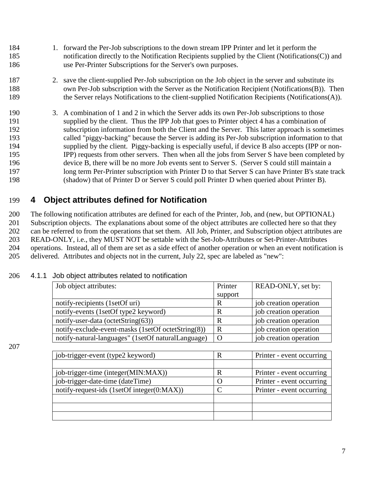- <span id="page-6-0"></span> 1. forward the Per-Job subscriptions to the down stream IPP Printer and let it perform the notification directly to the Notification Recipients supplied by the Client (Notifications(C)) and use Per-Printer Subscriptions for the Server's own purposes.
- 2. save the client-supplied Per-Job subscription on the Job object in the server and substitute its 188 own Per-Job subscription with the Server as the Notification Recipient (Notifications(B)). Then the Server relays Notifications to the client-supplied Notification Recipients (Notifications(A)).
- 3. A combination of 1 and 2 in which the Server adds its own Per-Job subscriptions to those supplied by the client. Thus the IPP Job that goes to Printer object 4 has a combination of subscription information from both the Client and the Server. This latter approach is sometimes called "piggy-backing" because the Server is adding its Per-Job subscription information to that supplied by the client. Piggy-backing is especially useful, if device B also accepts (IPP or non- IPP) requests from other servers. Then when all the jobs from Server S have been completed by device B, there will be no more Job events sent to Server S. (Server S could still maintain a long term Per-Printer subscription with Printer D to that Server S can have Printer B's state track (shadow) that of Printer D or Server S could poll Printer D when queried about Printer B).

# **4 Object attributes defined for Notification**

 The following notification attributes are defined for each of the Printer, Job, and (new, but OPTIONAL) Subscription objects. The explanations about some of the object attributes are collected here so that they can be referred to from the operations that set them. All Job, Printer, and Subscription object attributes are READ-ONLY, i.e., they MUST NOT be settable with the Set-Job-Attributes or Set-Printer-Attributes operations. Instead, all of them are set as a side effect of another operation or when an event notification is delivered. Attributes and objects not in the current, July 22, spec are labeled as "new":

| Job object attributes:                             | Printer | READ-ONLY, set by:     |
|----------------------------------------------------|---------|------------------------|
|                                                    | support |                        |
| notify-recipients (1setOf uri)                     | R       | job creation operation |
| notify-events (1setOf type2 keyword)               |         | job creation operation |
| notify-user-data (octetString $(63)$ )             | R       | job creation operation |
| notify-exclude-event-masks (1setOf octetString(8)) | R       | job creation operation |
| notify-natural-languages" (1setOf naturalLanguage) |         | job creation operation |

## 4.1.1 Job object attributes related to notification

| job-trigger-event (type2 keyword)          |   | Printer - event occurring |
|--------------------------------------------|---|---------------------------|
|                                            |   |                           |
| job-trigger-time (integer(MIN:MAX))        | R | Printer - event occurring |
| job-trigger-date-time (dateTime)           |   | Printer - event occurring |
| notify-request-ids (1setOf integer(0:MAX)) |   | Printer - event occurring |
|                                            |   |                           |
|                                            |   |                           |
|                                            |   |                           |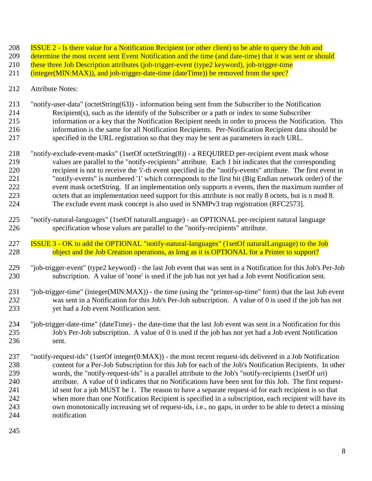- **ISSUE 2 Is there value for a Notification Recipient (or other client) to be able to query the Job and**
- 209 determine the most recent sent Event Notification and the time (and date-time) that it was sent or should
- 210 these three Job Description attributes (job-trigger-event (type2 keyword), job-trigger-time
- (integer(MIN:MAX)), and job-trigger-date-time (dateTime)) be removed from the spec?
- Attribute Notes:
- "notify-user-data" (octetString(63)) information being sent from the Subscriber to the Notification Recipient(s), such as the identify of the Subscriber or a path or index to some Subscriber information or a key that the Notification Recipient needs in order to process the Notification. This information is the same for all Notification Recipients. Per-Notification Recipient data should be specified in the URL registration so that they may be sent as parameters in each URL.
- "notify-exclude-event-masks" (1setOf octetString(8)) a REQUIRED per-recipient event mask whose values are parallel to the "notify-recipients" attribute. Each 1 bit indicates that the corresponding recipient is not to receive the 'i'-th event specified in the "notify-events" attribute. The first event in "notify-events" is numbered '1' which corresponds to the first bit (Big Endian network order) of the event mask octetString. If an implementation only supports n events, then the maximum number of octets that an implementation need support for this attribute is not really 8 octets, but is n mod 8. The exclude event mask concept is also used in SNMPv3 trap registration (RFC2573].
- "notify-natural-languages" (1setOf naturalLanguage) an OPTIONAL per-recipient natural language specification whose values are parallel to the "notify-recipients" attribute.
- 227 ISSUE 3 OK to add the OPTIONAL "notify-natural-languages" (1setOf naturalLanguage) to the Job<br>228 contract of the Job Creation operations, as long as it is OPTIONAL for a Printer to support? object and the Job Creation operations, as long as it is OPTIONAL for a Printer to support?
- "job-trigger-event" (type2 keyword) the last Job event that was sent in a Notification for this Job's Per-Job subscription. A value of 'none' is used if the job has not yet had a Job event Notification sent.
- "job-trigger-time" (integer(MIN:MAX)) the time (using the "printer-up-time" form) that the last Job event was sent in a Notification for this Job's Per-Job subscription. A value of 0 is used if the job has not yet had a Job event Notification sent.
- "job-trigger-date-time" (dateTime) the date-time that the last Job event was sent in a Notification for this Job's Per-Job subscription. A value of 0 is used if the job has not yet had a Job event Notification sent.
- "notify-request-ids" (1setOf integer(0:MAX)) the most recent request-ids delivered in a Job Notification content for a Per-Job Subscription for this Job for each of the Job's Notification Recipients. In other words, the "notify-request-ids" is a parallel attribute to the Job's "notify-recipients (1setOf uri) attribute. A value of 0 indicates that no Notifications have been sent for this Job. The first request-241 id sent for a job MUST be 1. The reason to have a separate request-id for each recipient is so that when more than one Notification Recipient is specified in a subscription, each recipient will have its own monotonically increasing set of request-ids, i.e., no gaps, in order to be able to detect a missing notification
-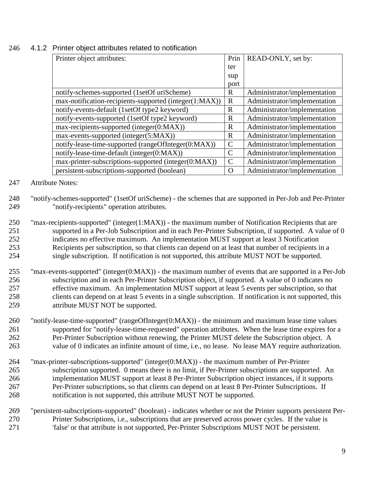<span id="page-8-0"></span>

| 246 |  |  |  |  |  |  | 4.1.2 Printer object attributes related to notification |
|-----|--|--|--|--|--|--|---------------------------------------------------------|
|-----|--|--|--|--|--|--|---------------------------------------------------------|

| Printer object attributes:                             | Prin          | READ-ONLY, set by:           |
|--------------------------------------------------------|---------------|------------------------------|
|                                                        | ter           |                              |
|                                                        | sup           |                              |
|                                                        | port          |                              |
| notify-schemes-supported (1setOf uriScheme)            | R             | Administrator/implementation |
| max-notification-recipients-supported (integer(1:MAX)) | $\mathbf R$   | Administrator/implementation |
| notify-events-default (1setOf type2 keyword)           | R             | Administrator/implementation |
| notify-events-supported (1setOf type2 keyword)         | $\mathbf R$   | Administrator/implementation |
| max-recipients-supported (integer(0:MAX))              | R             | Administrator/implementation |
| max-events-supported (integer(5:MAX))                  | R             | Administrator/implementation |
| notify-lease-time-supported (rangeOfInteger(0:MAX))    | $\mathcal{C}$ | Administrator/implementation |
| notify-lease-time-default (integer(0:MAX))             | $\mathcal{C}$ | Administrator/implementation |
| max-printer-subscriptions-supported (integer(0:MAX))   | C             | Administrator/implementation |
| persistent-subscriptions-supported (boolean)           | O             | Administrator/implementation |

### Attribute Notes:

- "notify-schemes-supported" (1setOf uriScheme) the schemes that are supported in Per-Job and Per-Printer "notify-recipients" operation attributes.
- "max-recipients-supported" (integer(1:MAX)) the maximum number of Notification Recipients that are supported in a Per-Job Subscription and in each Per-Printer Subscription, if supported. A value of 0 indicates no effective maximum. An implementation MUST support at least 3 Notification Recipients per subscription, so that clients can depend on at least that number of recipients in a single subscription. If notification is not supported, this attribute MUST NOT be supported.
- "max-events-supported" (integer(0:MAX)) the maximum number of events that are supported in a Per-Job subscription and in each Per-Printer Subscription object, if supported. A value of 0 indicates no effective maximum. An implementation MUST support at least 5 events per subscription, so that clients can depend on at least 5 events in a single subscription. If notification is not supported, this attribute MUST NOT be supported.
- "notify-lease-time-supported" (rangeOfInteger(0:MAX)) the minimum and maximum lease time values supported for "notify-lease-time-requested" operation attributes. When the lease time expires for a Per-Printer Subscription without renewing, the Printer MUST delete the Subscription object. A value of 0 indicates an infinite amount of time, i.e., no lease. No lease MAY require authorization.
- "max-printer-subscriptions-supported" (integer(0:MAX)) the maximum number of Per-Printer subscription supported. 0 means there is no limit, if Per-Printer subscriptions are supported. An implementation MUST support at least 8 Per-Printer Subscription object instances, if it supports Per-Printer subscriptions, so that clients can depend on at least 8 Per-Printer Subscriptions. If notification is not supported, this attribute MUST NOT be supported.
- "persistent-subscriptions-supported" (boolean) indicates whether or not the Printer supports persistent Per- Printer Subscriptions, i.e., subscriptions that are preserved across power cycles. If the value is 'false' or that attribute is not supported, Per-Printer Subscriptions MUST NOT be persistent.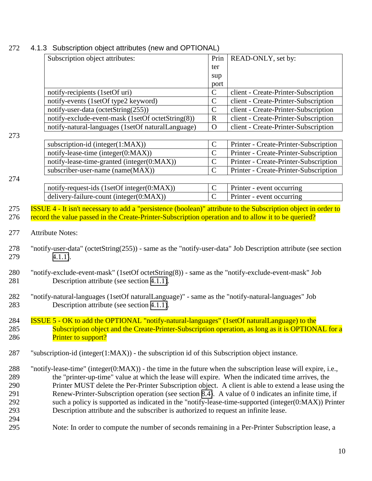|     | Subscription object attributes:                                                                                  | Prin           | READ-ONLY, set by:                    |  |  |  |
|-----|------------------------------------------------------------------------------------------------------------------|----------------|---------------------------------------|--|--|--|
|     |                                                                                                                  | ter            |                                       |  |  |  |
|     |                                                                                                                  | sup            |                                       |  |  |  |
|     |                                                                                                                  | port           |                                       |  |  |  |
|     | notify-recipients (1setOf uri)                                                                                   | $\mathbf C$    | client - Create-Printer-Subscription  |  |  |  |
|     | notify-events (1setOf type2 keyword)                                                                             | $\mathcal{C}$  | client - Create-Printer-Subscription  |  |  |  |
|     | notify-user-data (octetString(255))                                                                              | $\mathbf C$    | client - Create-Printer-Subscription  |  |  |  |
|     | notify-exclude-event-mask (1setOf octetString(8))                                                                | $\mathbf R$    | client - Create-Printer-Subscription  |  |  |  |
|     | notify-natural-languages (1setOf naturalLanguage)                                                                | $\Omega$       | client - Create-Printer-Subscription  |  |  |  |
| 273 |                                                                                                                  |                |                                       |  |  |  |
|     | subscription-id (integer(1:MAX))                                                                                 | $\mathsf{C}$   | Printer - Create-Printer-Subscription |  |  |  |
|     | notify-lease-time (integer(0:MAX))                                                                               | $\mathbf C$    | Printer - Create-Printer-Subscription |  |  |  |
|     | notify-lease-time-granted (integer(0:MAX))                                                                       | $\mathbf C$    | Printer - Create-Printer-Subscription |  |  |  |
|     | subscriber-user-name (name(MAX))                                                                                 | $\mathcal{C}$  | Printer - Create-Printer-Subscription |  |  |  |
| 274 |                                                                                                                  |                |                                       |  |  |  |
|     | notify-request-ids (1setOf integer(0:MAX))                                                                       | $\mathbf C$    | Printer - event occurring             |  |  |  |
|     | delivery-failure-count (integer(0:MAX))                                                                          | $\overline{C}$ | Printer - event occurring             |  |  |  |
| 275 | ISSUE 4 - It isn't necessary to add a "persistence (boolean)" attribute to the Subscription object in order to   |                |                                       |  |  |  |
| 276 | record the value passed in the Create-Printer-Subscription operation and to allow it to be queried?              |                |                                       |  |  |  |
|     |                                                                                                                  |                |                                       |  |  |  |
| 277 | <b>Attribute Notes:</b>                                                                                          |                |                                       |  |  |  |
|     |                                                                                                                  |                |                                       |  |  |  |
| 278 | "notify-user-data" (octetString(255)) - same as the "notify-user-data" Job Description attribute (see section    |                |                                       |  |  |  |
| 279 | $4.1.1$ ).                                                                                                       |                |                                       |  |  |  |
|     |                                                                                                                  |                |                                       |  |  |  |
| 280 | "notify-exclude-event-mask" (1setOf octetString(8)) - same as the "notify-exclude-event-mask" Job                |                |                                       |  |  |  |
| 281 | Description attribute (see section 4.1.1).                                                                       |                |                                       |  |  |  |
|     |                                                                                                                  |                |                                       |  |  |  |
| 282 | "notify-natural-languages (1setOf naturalLanguage)" - same as the "notify-natural-languages" Job                 |                |                                       |  |  |  |
| 283 | Description attribute (see section 4.1.1).                                                                       |                |                                       |  |  |  |
|     |                                                                                                                  |                |                                       |  |  |  |
| 284 | <b>ISSUE 5 - OK to add the OPTIONAL "notify-natural-languages" (1setOf naturalLanguage) to the</b>               |                |                                       |  |  |  |
| 285 | Subscription object and the Create-Printer-Subscription operation, as long as it is OPTIONAL for a               |                |                                       |  |  |  |
| 286 | <b>Printer to support?</b>                                                                                       |                |                                       |  |  |  |
| 287 | "subscription-id (integer(1:MAX)) - the subscription id of this Subscription object instance.                    |                |                                       |  |  |  |
|     |                                                                                                                  |                |                                       |  |  |  |
| 288 | "notify-lease-time" (integer( $0:MAX$ )) - the time in the future when the subscription lease will expire, i.e., |                |                                       |  |  |  |
| 289 | the "printer-up-time" value at which the lease will expire. When the indicated time arrives, the                 |                |                                       |  |  |  |
| 290 | Printer MUST delete the Per-Printer Subscription object. A client is able to extend a lease using the            |                |                                       |  |  |  |
| 291 | Renew-Printer-Subscription operation (see section 8.4). A value of 0 indicates an infinite time, if              |                |                                       |  |  |  |
| 292 | such a policy is supported as indicated in the "notify-lease-time-supported (integer(0:MAX)) Printer             |                |                                       |  |  |  |
| 293 | Description attribute and the subscriber is authorized to request an infinite lease.                             |                |                                       |  |  |  |
| 294 |                                                                                                                  |                |                                       |  |  |  |
| 295 | Note: In order to compute the number of seconds remaining in a Per-Printer Subscription lease, a                 |                |                                       |  |  |  |
|     |                                                                                                                  |                |                                       |  |  |  |

# <span id="page-9-0"></span>4.1.3 Subscription object attributes (new and OPTIONAL)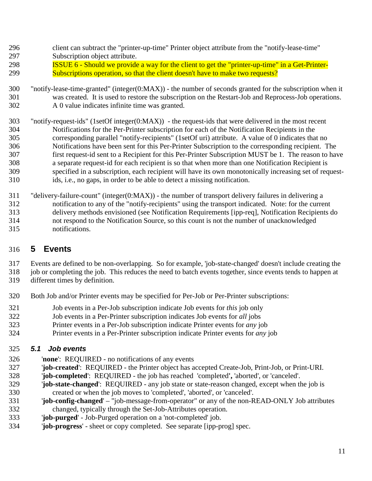- <span id="page-10-0"></span>client can subtract the "printer-up-time" Printer object attribute from the "notify-lease-time"
- Subscription object attribute.
- ISSUE 6 Should we provide a way for the client to get the "printer-up-time" in a Get-Printer-Subscriptions operation, so that the client doesn't have to make two requests?
- "notify-lease-time-granted" (integer(0:MAX)) the number of seconds granted for the subscription when it was created. It is used to restore the subscription on the Restart-Job and Reprocess-Job operations. A 0 value indicates infinite time was granted.
- "notify-request-ids" (1setOf integer(0:MAX)) the request-ids that were delivered in the most recent Notifications for the Per-Printer subscription for each of the Notification Recipients in the corresponding parallel "notify-recipients" (1setOf uri) attribute. A value of 0 indicates that no Notifications have been sent for this Per-Printer Subscription to the corresponding recipient. The first request-id sent to a Recipient for this Per-Printer Subscription MUST be 1. The reason to have a separate request-id for each recipient is so that when more than one Notification Recipient is specified in a subscription, each recipient will have its own monotonically increasing set of request-ids, i.e., no gaps, in order to be able to detect a missing notification.
- "delivery-failure-count" (integer(0:MAX)) the number of transport delivery failures in delivering a notification to any of the "notify-recipients" using the transport indicated. Note: for the current delivery methods envisioned (see Notification Requirements [ipp-req], Notification Recipients do not respond to the Notification Source, so this count is not the number of unacknowledged notifications.

# **5 Events**

 Events are defined to be non-overlapping. So for example, 'job-state-changed' doesn't include creating the job or completing the job. This reduces the need to batch events together, since events tends to happen at

- different times by definition.
- Both Job and/or Printer events may be specified for Per-Job or Per-Printer subscriptions:
- Job events in a Per-Job subscription indicate Job events for *this* job only
- Job events in a Per-Printer subscription indicates Job events for *all* jobs
- Printer events in a Per-Job subscription indicate Printer events for *any* job
- Printer events in a Per-Printer subscription indicate Printer events for *any* job

# *5.1 Job events*

- '**none**': REQUIRED no notifications of any events
- '**job-created**': REQUIRED the Printer object has accepted Create-Job, Print-Job, or Print-URI.
- '**job-completed**': REQUIRED the job has reached 'completed**',** 'aborted', or 'canceled'.
- '**job-state-changed**': REQUIRED any job state or state-reason changed, except when the job is created or when the job moves to 'completed', 'aborted', or 'canceled'.
- '**job-config-changed**' "job-message-from-operator" or any of the non-READ-ONLY Job attributes changed, typically through the Set-Job-Attributes operation.
- '**job-purged**' Job-Purged operation on a 'not-completed' job.
- '**job-progress**' sheet or copy completed. See separate [ipp-prog] spec.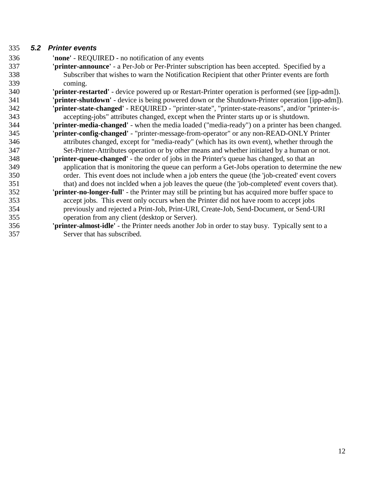# <span id="page-11-0"></span>*5.2 Printer events*

 **'none'** - REQUIRED - no notification of any events **'printer-announce'** - a Per-Job or Per-Printer subscription has been accepted. Specified by a Subscriber that wishes to warn the Notification Recipient that other Printer events are forth coming. **'printer-restarted'** - device powered up or Restart-Printer operation is performed (see [ipp-adm]). **'printer-shutdown'** - device is being powered down or the Shutdown-Printer operation [ipp-adm]). **'printer-state-changed'** - REQUIRED - "printer-state", "printer-state-reasons", and/or "printer-is- accepting-jobs" attributes changed, except when the Printer starts up or is shutdown. **'printer-media-changed'** - when the media loaded ("media-ready") on a printer has been changed. **'printer-config-changed'** - "printer-message-from-operator" or any non-READ-ONLY Printer attributes changed, except for "media-ready" (which has its own event), whether through the Set-Printer-Attributes operation or by other means and whether initiated by a human or not. **'printer-queue-changed'** - the order of jobs in the Printer's queue has changed, so that an application that is monitoring the queue can perform a Get-Jobs operation to determine the new order. This event does not include when a job enters the queue (the 'job-created' event covers that) and does not inclded when a job leaves the queue (the 'job-completed' event covers that). **'printer-no-longer-full'** - the Printer may still be printing but has acquired more buffer space to accept jobs. This event only occurs when the Printer did not have room to accept jobs previously and rejected a Print-Job, Print-URI, Create-Job, Send-Document, or Send-URI operation from any client (desktop or Server). **'printer-almost-idle'** - the Printer needs another Job in order to stay busy. Typically sent to a Server that has subscribed.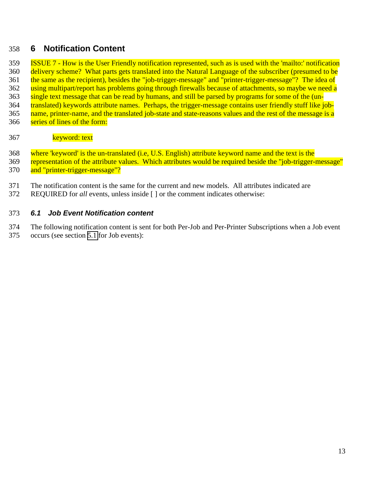# <span id="page-12-0"></span>**6 Notification Content**

 ISSUE 7 - How is the User Friendly notification represented, such as is used with the 'mailto:' notification delivery scheme? What parts gets translated into the Natural Language of the subscriber (presumed to be 361 the same as the recipient), besides the "job-trigger-message" and "printer-trigger-message"? The idea of 362 using multipart/report has problems going through firewalls because of attachments, so maybe we need a single text message that can be read by humans, and still be parsed by programs for some of the (un- translated) keywords attribute names. Perhaps, the trigger-message contains user friendly stuff like job- name, printer-name, and the translated job-state and state-reasons values and the rest of the message is a 366 series of lines of the form:

### 367 keyword: text

 where 'keyword' is the un-translated (i.e, U.S. English) attribute keyword name and the text is the 369 representation of the attribute values. Which attributes would be required beside the "job-trigger-message" and "printer-trigger-message"?

- The notification content is the same for the current and new models. All attributes indicated are
- REQUIRED for *all* events, unless inside [ ] or the comment indicates otherwise:

## *6.1 Job Event Notification content*

The following notification content is sent for both Per-Job and Per-Printer Subscriptions when a Job event

occurs (see section [5.1](#page-10-0) for Job events):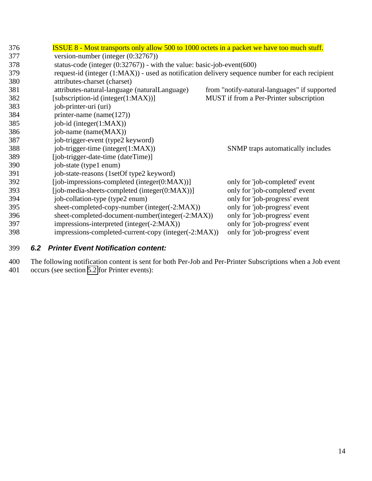<span id="page-13-0"></span>

| <b>ISSUE 8 - Most transports only allow 500 to 1000 octets in a packet we have too much stuff.</b> |                                              |  |  |  |
|----------------------------------------------------------------------------------------------------|----------------------------------------------|--|--|--|
| version-number (integer $(0.32767)$ )                                                              |                                              |  |  |  |
| status-code (integer $(0:32767)$ ) - with the value: basic-job-event(600)                          |                                              |  |  |  |
| request-id (integer (1:MAX)) - used as notification delivery sequence number for each recipient    |                                              |  |  |  |
| attributes-charset (charset)                                                                       |                                              |  |  |  |
| attributes-natural-language (naturalLanguage)                                                      | from "notify-natural-languages" if supported |  |  |  |
| [subscription-id (integer(1:MAX))]                                                                 | MUST if from a Per-Printer subscription      |  |  |  |
| job-printer-uri (uri)                                                                              |                                              |  |  |  |
| printer-name (name $(127)$ )                                                                       |                                              |  |  |  |
| job-id (integer(1:MAX))                                                                            |                                              |  |  |  |
| job-name (name(MAX))                                                                               |                                              |  |  |  |
| job-trigger-event (type2 keyword)                                                                  |                                              |  |  |  |
| job-trigger-time (integer(1:MAX))                                                                  | SNMP traps automatically includes            |  |  |  |
| [job-trigger-date-time (dateTime)]                                                                 |                                              |  |  |  |
| job-state (type1 enum)                                                                             |                                              |  |  |  |
| job-state-reasons (1setOf type2 keyword)                                                           |                                              |  |  |  |
| [job-impressions-completed (integer(0:MAX))]                                                       | only for 'job-completed' event               |  |  |  |
| [job-media-sheets-completed (integer(0:MAX))]                                                      | only for 'job-completed' event               |  |  |  |
| job-collation-type (type2 enum)                                                                    | only for 'job-progress' event                |  |  |  |
| sheet-completed-copy-number (integer(-2:MAX))                                                      | only for 'job-progress' event                |  |  |  |
| sheet-completed-document-number(integer(-2:MAX))                                                   | only for 'job-progress' event                |  |  |  |
| impressions-interpreted (integer(-2:MAX))                                                          | only for 'job-progress' event                |  |  |  |
| impressions-completed-current-copy (integer(-2:MAX))                                               | only for 'job-progress' event                |  |  |  |
|                                                                                                    |                                              |  |  |  |

## 399 *6.2 Printer Event Notification content:*

400 The following notification content is sent for both Per-Job and Per-Printer Subscriptions when a Job event 401 occurs (see section [5.2](#page-11-0) for Printer events):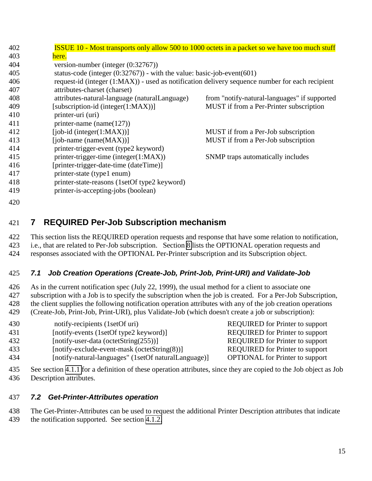<span id="page-14-0"></span>

| 402 | <b>ISSUE 10 - Most transports only allow 500 to 1000 octets in a packet so we have too much stuff</b> |                                              |  |
|-----|-------------------------------------------------------------------------------------------------------|----------------------------------------------|--|
| 403 | here.                                                                                                 |                                              |  |
| 404 | version-number (integer $(0:32767)$ )                                                                 |                                              |  |
| 405 | status-code (integer $(0:32767)$ ) - with the value: basic-job-event(601)                             |                                              |  |
| 406 | request-id (integer (1:MAX)) - used as notification delivery sequence number for each recipient       |                                              |  |
| 407 | attributes-charset (charset)                                                                          |                                              |  |
| 408 | attributes-natural-language (naturalLanguage)                                                         | from "notify-natural-languages" if supported |  |
| 409 | [subscription-id (integer(1:MAX))]                                                                    | MUST if from a Per-Printer subscription      |  |
| 410 | printer-uri (uri)                                                                                     |                                              |  |
| 411 | printer-name (name $(127)$ )                                                                          |                                              |  |
| 412 | $[job-id (integer(1:MAX))]$                                                                           | MUST if from a Per-Job subscription          |  |
| 413 | [job-name (name $(MAX)$ ]]                                                                            | MUST if from a Per-Job subscription          |  |
| 414 | printer-trigger-event (type2 keyword)                                                                 |                                              |  |
| 415 | printer-trigger-time (integer(1:MAX))                                                                 | SNMP traps automatically includes            |  |
| 416 | [printer-trigger-date-time (dateTime)]                                                                |                                              |  |
| 417 | printer-state (type1 enum)                                                                            |                                              |  |
| 418 | printer-state-reasons (1setOf type2 keyword)                                                          |                                              |  |
| 419 | printer-is-accepting-jobs (boolean)                                                                   |                                              |  |
| 420 |                                                                                                       |                                              |  |

# **7 REQUIRED Per-Job Subscription mechanism**

 This section lists the REQUIRED operation requests and response that have some relation to notification, i.e., that are related to Per-Job subscription. Section [8](#page-15-0) lists the OPTIONAL operation requests and responses associated with the OPTIONAL Per-Printer subscription and its Subscription object.

# *7.1 Job Creation Operations (Create-Job, Print-Job, Print-URI) and Validate-Job*

 As in the current notification spec (July 22, 1999), the usual method for a client to associate one 427 subscription with a Job is to specify the subscription when the job is created. For a Per-Job Subscription, the client supplies the following notification operation attributes with any of the job creation operations (Create-Job, Print-Job, Print-URI), plus Validate-Job (which doesn't create a job or subscription):

- 430 notify-recipients (1setOf uri) REQUIRED for Printer to support
- [notify-events (1setOf type2 keyword)] REQUIRED for Printer to support
- [notify-user-data (octetString(255))] REQUIRED for Printer to support
- [notify-exclude-event-mask (octetString(8))] REQUIRED for Printer to support
- [notify-natural-languages" (1setOf naturalLanguage)] OPTIONAL for Printer to support

 See section [4.1.1](#page-6-0) for a definition of these operation attributes, since they are copied to the Job object as Job Description attributes.

## *7.2 Get-Printer-Attributes operation*

 The Get-Printer-Attributes can be used to request the additional Printer Description attributes that indicate the notification supported. See section [4.1.2.](#page-8-0)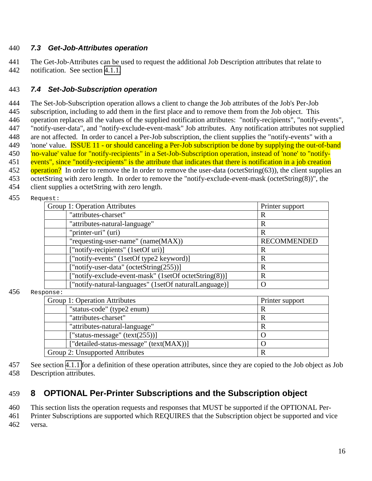## <span id="page-15-0"></span>440 *7.3 Get-Job-Attributes operation*

441 The Get-Job-Attributes can be used to request the additional Job Description attributes that relate to 442 notification. See section [4.1.1.](#page-6-0)

## 443 *7.4 Set-Job-Subscription operation*

 The Set-Job-Subscription operation allows a client to change the Job attributes of the Job's Per-Job subscription, including to add them in the first place and to remove them from the Job object. This operation replaces all the values of the supplied notification attributes: "notify-recipients", "notify-events", "notify-user-data", and "notify-exclude-event-mask" Job attributes. Any notification attributes not supplied are not affected. In order to cancel a Per-Job subscription, the client supplies the "notify-events" with a 'none' value. ISSUE 11 - or should canceling a Per-Job subscription be done by supplying the out-of-band 'no-value' value for "notify-recipients" in a Set-Job-Subscription operation, instead of 'none' to "notify-451 events", since "notify-recipients" is the attribute that indicates that there is notification in a job creation operation? In order to remove the In order to remove the user-data (octetString(63)), the client supplies an octetString with zero length. In order to remove the "notify-exclude-event-mask (octetString(8))", the client supplies a octetString with zero length.

455 Request:

| Group 1: Operation Attributes                         | Printer support    |
|-------------------------------------------------------|--------------------|
| "attributes-charset"                                  | R                  |
| "attributes-natural-language"                         | $\mathbf R$        |
| "printer-uri" (uri)                                   | $\mathbf R$        |
| "requesting-user-name" (name(MAX))                    | <b>RECOMMENDED</b> |
| ["notify-recipients" (1setOf uri)]                    | $\mathbf R$        |
| ["notify-events" (1setOf type2 keyword)]              | R                  |
| ["notify-user-data" (octetString(255))]               | $\mathbf R$        |
| ["notify-exclude-event-mask" (1setOf octetString(8))] | $\mathbf R$        |
| ["notify-natural-languages" (1setOf naturalLanguage)] | Ω                  |
| ponse:                                                |                    |
| Group 1: Operation Attributes                         | Printer support    |
| "status-code" (type2 enum)                            | $\mathbf R$        |
| "attributes-charset"                                  | R                  |
| "attributes-natural-language"                         | $\mathbf R$        |
| "status-message" $(text(255))]$                       | $\Omega$           |
| ["detailed-status-message" (text(MAX))]               | O                  |

 $456$  Resp

| 457 See section 4.1.1 for a definition of these operation attributes, since they are copied to the Job object as Job |
|----------------------------------------------------------------------------------------------------------------------|
| 458 Description attributes.                                                                                          |

# 459 **8 OPTIONAL Per-Printer Subscriptions and the Subscription object**

Group 2: Unsupported Attributes R

460 This section lists the operation requests and responses that MUST be supported if the OPTIONAL Per-

461 Printer Subscriptions are supported which REQUIRES that the Subscription object be supported and vice 462 versa.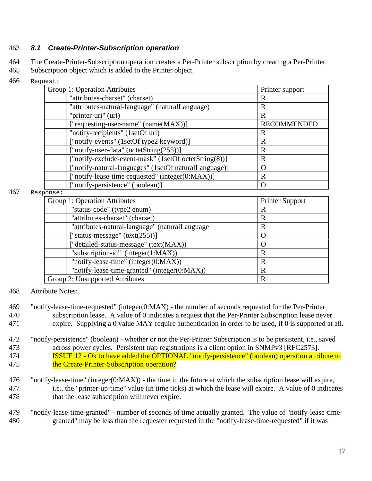## <span id="page-16-0"></span>463 *8.1 Create-Printer-Subscription operation*

464 The Create-Printer-Subscription operation creates a Per-Printer subscription by creating a Per-Printer 465 Subscription object which is added to the Printer object.

466 Request:

| にこっし・                                                 |                    |
|-------------------------------------------------------|--------------------|
| Group 1: Operation Attributes                         | Printer support    |
| "attributes-charset" (charset)                        | R                  |
| "attributes-natural-language" (naturalLanguage)       | R                  |
| "printer-uri" (uri)                                   | R                  |
| ["requesting-user-name" (name(MAX))]                  | <b>RECOMMENDED</b> |
| "notify-recipients" (1setOf uri)                      | R                  |
| ["notify-events" (1setOf type2 keyword)]              | R                  |
| ["notify-user-data" (octetString(255))]               | R                  |
| ["notify-exclude-event-mask" (1setOf octetString(8))] | R                  |
| ["notify-natural-languages" (1setOf naturalLanguage)] | O                  |
| ["notify-lease-time-requested" (integer(0:MAX))]      | R                  |
| ["notify-persistence" (boolean)]                      | $\left($           |
| $\sim$ n $\sim$                                       |                    |

 $467$  Resp

| <b>Printer Support</b> |
|------------------------|
| R                      |
| R                      |
| R                      |
| $\left( \right)$       |
| $\Omega$               |
| $\mathbf R$            |
| R                      |
| R                      |
| R                      |
|                        |

468 Attribute Notes:

- 469 "notify-lease-time-requested" (integer(0:MAX) the number of seconds requested for the Per-Printer 470 subscription lease. A value of 0 indicates a request that the Per-Printer Subscription lease never 471 expire. Supplying a 0 value MAY require authentication in order to be used, if 0 is supported at all.
- 472 "notify-persistence" (boolean) whether or not the Per-Printer Subscription is to be persistent, i.e., saved 473 across power cycles. Persistent trap registrations is a client option in SNMPv3 [RFC2573]. 174 **ISSUE 12 - Ok to have added the OPTIONAL** "notify-persistence" (boolean) operation attribute to 475 the Create-Printer-Subscription operation?
- 476 "notify-lease-time" (integer(0:MAX)) the time in the future at which the subscription lease will expire, 477 i.e., the "printer-up-time" value (in time ticks) at which the lease will expire. A value of 0 indicates 478 that the lease subscription will never expire.
- 479 "notify-lease-time-granted" number of seconds of time actually granted. The value of "notify-lease-time-480 granted" may be less than the requester requested in the "notify-lease-time-requested" if it was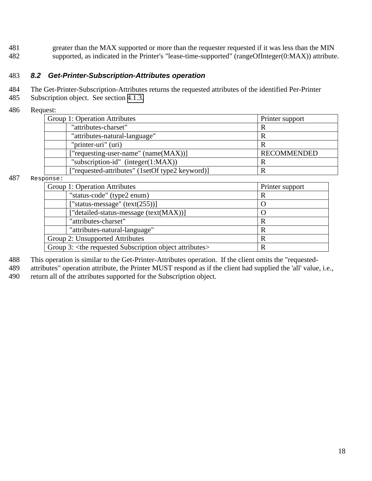<span id="page-17-0"></span>481 greater than the MAX supported or more than the requester requested if it was less than the MIN 482 supported, as indicated in the Printer's "lease-time-supported" (rangeOfInteger(0:MAX)) attribute.

#### 483 *8.2 Get-Printer-Subscription-Attributes operation*

484 The Get-Printer-Subscription-Attributes returns the requested attributes of the identified Per-Printer

- 485 Subscription object. See section [4.1.3.](#page-9-0)
- 486 Request:

| Group 1: Operation Attributes                   | Printer support    |
|-------------------------------------------------|--------------------|
| "attributes-charset"                            | R                  |
| "attributes-natural-language"                   | R                  |
| "printer-uri" (uri)                             |                    |
| ["requesting-user-name" $(name(MAX))$ ]         | <b>RECOMMENDED</b> |
| "subscription-id" (integer(1:MAX))              | R                  |
| ["requested-attributes" (1setOf type2 keyword)] |                    |

#### 487 Response:

| ~~**~                                                                     |                  |
|---------------------------------------------------------------------------|------------------|
| Group 1: Operation Attributes                                             | Printer support  |
| "status-code" (type2 enum)                                                |                  |
| ["status-message" $(text(255))]$                                          | $\left( \right)$ |
| ["detailed-status-message (text(MAX))]                                    | $\left( \right)$ |
| "attributes-charset"                                                      | R                |
| "attributes-natural-language"                                             |                  |
| Group 2: Unsupported Attributes                                           |                  |
| Group 3: <the attributes="" object="" requested="" subscription=""></the> |                  |

488 This operation is similar to the Get-Printer-Attributes operation. If the client omits the "requested-

489 attributes" operation attribute, the Printer MUST respond as if the client had supplied the 'all' value, i.e.,

490 return all of the attributes supported for the Subscription object.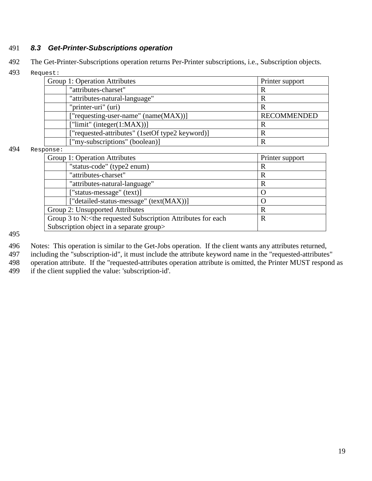# <span id="page-18-0"></span>491 *8.3 Get-Printer-Subscriptions operation*

- 492 The Get-Printer-Subscriptions operation returns Per-Printer subscriptions, i.e., Subscription objects.
- 493 Request:

| Group 1: Operation Attributes                   | Printer support    |
|-------------------------------------------------|--------------------|
| "attributes-charset"                            | R                  |
| "attributes-natural-language"                   | R                  |
| "printer-uri" (uri)                             | R                  |
| ["requesting-user-name" (name(MAX))]            | <b>RECOMMENDED</b> |
| ["limit" (integer $(1:MAX)$ ]                   | R                  |
| ["requested-attributes" (1setOf type2 keyword)] | R                  |
| ["my-subscriptions" (boolean)]                  | R                  |
| ponse:                                          |                    |
| Group 1: Operation Attributes                   | Printer support    |
| "status-code" (type2 enum)                      | R                  |
| "attributes-charset"                            | R                  |
|                                                 |                    |

 $494$  Resp

| Printer support |
|-----------------|
| R               |
| R               |
| R               |
| $\Omega$        |
| $\left($ )      |
| R               |
| $\mathbf R$     |
|                 |
|                 |

495

496 Notes: This operation is similar to the Get-Jobs operation. If the client wants any attributes returned,

- 497 including the "subscription-id", it must include the attribute keyword name in the "requested-attributes"
- 498 operation attribute. If the "requested-attributes operation attribute is omitted, the Printer MUST respond as<br>499 if the client supplied the value: 'subscription-id'.
- if the client supplied the value: 'subscription-id'.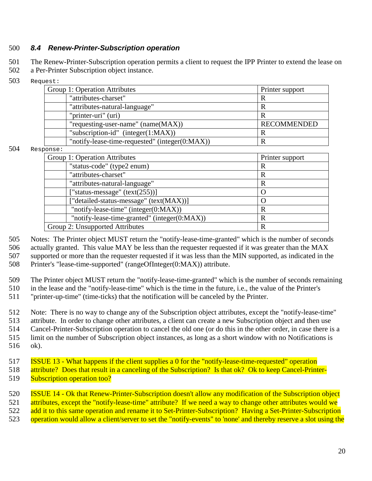## <span id="page-19-0"></span>500 *8.4 Renew-Printer-Subscription operation*

501 The Renew-Printer-Subscription operation permits a client to request the IPP Printer to extend the lease on

502 a Per-Printer Subscription object instance.

503 Request:

| ヒドレ・                                           |                    |
|------------------------------------------------|--------------------|
| Group 1: Operation Attributes                  | Printer support    |
| "attributes-charset"                           |                    |
| "attributes-natural-language"                  |                    |
| "printer-uri" (uri)                            |                    |
| "requesting-user-name" (name(MAX))             | <b>RECOMMENDED</b> |
| "subscription-id" (integer(1:MAX))             |                    |
| "notify-lease-time-requested" (integer(0:MAX)) |                    |

 $504$  Respo

| onse:                                        |                 |
|----------------------------------------------|-----------------|
| Group 1: Operation Attributes                | Printer support |
| "status-code" (type2 enum)                   | R               |
| "attributes-charset"                         | R               |
| "attributes-natural-language"                | R               |
| ["status-message" $(text(255))]$             |                 |
| ["detailed-status-message" (text(MAX))]      |                 |
| "notify-lease-time" (integer(0:MAX))         | R               |
| "notify-lease-time-granted" (integer(0:MAX)) | R               |
| Group 2: Unsupported Attributes              | R               |

505 Notes: The Printer object MUST return the "notify-lease-time-granted" which is the number of seconds

506 actually granted. This value MAY be less than the requester requested if it was greater than the MAX 507 supported or more than the requester requested if it was less than the MIN supported, as indicated in the 508 Printer's "lease-time-supported" (rangeOfInteger(0:MAX)) attribute.

509 The Printer object MUST return the "notify-lease-time-granted" which is the number of seconds remaining

510 in the lease and the "notify-lease-time" which is the time in the future, i.e., the value of the Printer's

511 "printer-up-time" (time-ticks) that the notification will be canceled by the Printer.

512 Note: There is no way to change any of the Subscription object attributes, except the "notify-lease-time"

513 attribute. In order to change other attributes, a client can create a new Subscription object and then use

514 Cancel-Printer-Subscription operation to cancel the old one (or do this in the other order, in case there is a

515 limit on the number of Subscription object instances, as long as a short window with no Notifications is 516 ok).

517 ISSUE 13 - What happens if the client supplies a 0 for the "notify-lease-time-requested" operation

518 attribute? Does that result in a canceling of the Subscription? Is that ok? Ok to keep Cancel-Printer-

519 Subscription operation too?

520 ISSUE 14 - Ok that Renew-Printer-Subscription doesn't allow any modification of the Subscription object 521 attributes, except the "notify-lease-time" attribute? If we need a way to change other attributes would we 522 add it to this same operation and rename it to Set-Printer-Subscription? Having a Set-Printer-Subscription

523 operation would allow a client/server to set the "notify-events" to 'none' and thereby reserve a slot using the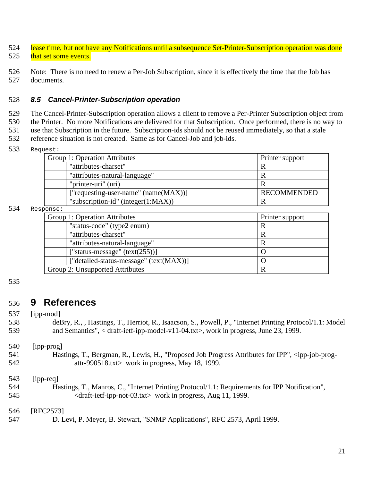- <span id="page-20-0"></span>524 lease time, but not have any Notifications until a subsequence Set-Printer-Subscription operation was done 525 that set some events.
- 526 Note: There is no need to renew a Per-Job Subscription, since it is effectively the time that the Job has 527 documents.

## 528 *8.5 Cancel-Printer-Subscription operation*

 The Cancel-Printer-Subscription operation allows a client to remove a Per-Printer Subscription object from the Printer. No more Notifications are delivered for that Subscription. Once performed, there is no way to use that Subscription in the future. Subscription-ids should not be reused immediately, so that a stale reference situation is not created. Same as for Cancel-Job and job-ids.

533 Request:

| Group 1: Operation Attributes          | Printer support    |
|----------------------------------------|--------------------|
| "attributes-charset"                   |                    |
| "attributes-natural-language"          |                    |
| "printer-uri" (uri)                    |                    |
| ["requesting-user-name" (name(MAX))]   | <b>RECOMMENDED</b> |
| "subscription-id" (integer $(1:MAX)$ ) |                    |

#### 534 Resp

| onse ·                                  |                 |
|-----------------------------------------|-----------------|
| Group 1: Operation Attributes           | Printer support |
| "status-code" (type2 enum)              | R               |
| "attributes-charset"                    | R               |
| "attributes-natural-language"           | R               |
| ["status-message" $(text(255))]$        |                 |
| ["detailed-status-message" (text(MAX))] |                 |
| Group 2: Unsupported Attributes         | R               |

#### 535

# 536 **9 References**

537 [ipp-mod]

| 538 | deBry, R., , Hastings, T., Herriot, R., Isaacson, S., Powell, P., "Internet Printing Protocol/1.1: Model |
|-----|----------------------------------------------------------------------------------------------------------|
| 539 | and Semantics", $\langle$ draft-ietf-ipp-model-v11-04.txt $\rangle$ , work in progress, June 23, 1999.   |

#### 540 [ipp-prog]

541 Hastings, T., Bergman, R., Lewis, H., "Proposed Job Progress Attributes for IPP", <ipp-job-prog-542 attr-990518.txt> work in progress, May 18, 1999.

#### 543 [ipp-req]

544 Hastings, T., Manros, C., "Internet Printing Protocol/1.1: Requirements for IPP Notification", 545 <draft-ietf-ipp-not-03.txt> work in progress, Aug 11, 1999.

#### 546 [RFC2573]

547 D. Levi, P. Meyer, B. Stewart, "SNMP Applications", RFC 2573, April 1999.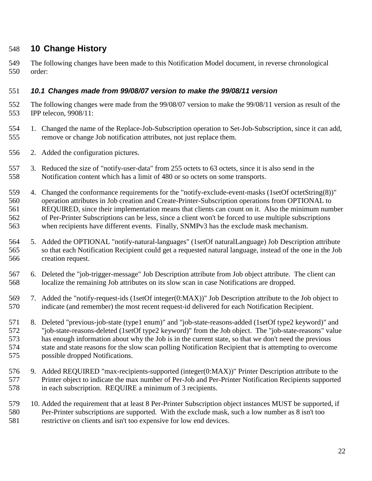# <span id="page-21-0"></span>**10 Change History**

 The following changes have been made to this Notification Model document, in reverse chronological order:

### *10.1 Changes made from 99/08/07 version to make the 99/08/11 version*

- The following changes were made from the 99/08/07 version to make the 99/08/11 version as result of the IPP telecon, 9908/11:
- 1. Changed the name of the Replace-Job-Subscription operation to Set-Job-Subscription, since it can add, remove or change Job notification attributes, not just replace them.
- 2. Added the configuration pictures.
- 3. Reduced the size of "notify-user-data" from 255 octets to 63 octets, since it is also send in the Notification content which has a limit of 480 or so octets on some transports.
- 4. Changed the conformance requirements for the "notify-exclude-event-masks (1setOf octetString(8))" operation attributes in Job creation and Create-Printer-Subscription operations from OPTIONAL to REQUIRED, since their implementation means that clients can count on it. Also the minimum number of Per-Printer Subscriptions can be less, since a client won't be forced to use multiple subscriptions when recipients have different events. Finally, SNMPv3 has the exclude mask mechanism.
- 5. Added the OPTIONAL "notify-natural-languages" (1setOf naturalLanguage) Job Description attribute so that each Notification Recipient could get a requested natural language, instead of the one in the Job creation request.
- 6. Deleted the "job-trigger-message" Job Description attribute from Job object attribute. The client can localize the remaining Job attributes on its slow scan in case Notifications are dropped.
- 7. Added the "notify-request-ids (1setOf integer(0:MAX))" Job Description attribute to the Job object to indicate (and remember) the most recent request-id delivered for each Notification Recipient.
- 8. Deleted "previous-job-state (type1 enum)" and "job-state-reasons-added (1setOf type2 keyword)" and "job-state-reasons-deleted (1setOf type2 keyword)" from the Job object. The "job-state-reasons" value has enough information about why the Job is in the current state, so that we don't need the previous state and state reasons for the slow scan polling Notification Recipient that is attempting to overcome possible dropped Notifications.
- 9. Added REQUIRED "max-recipients-supported (integer(0:MAX))" Printer Description attribute to the Printer object to indicate the max number of Per-Job and Per-Printer Notification Recipients supported in each subscription. REQUIRE a minimum of 3 recipients.
- 10. Added the requirement that at least 8 Per-Printer Subscription object instances MUST be supported, if Per-Printer subscriptions are supported. With the exclude mask, such a low number as 8 isn't too restrictive on clients and isn't too expensive for low end devices.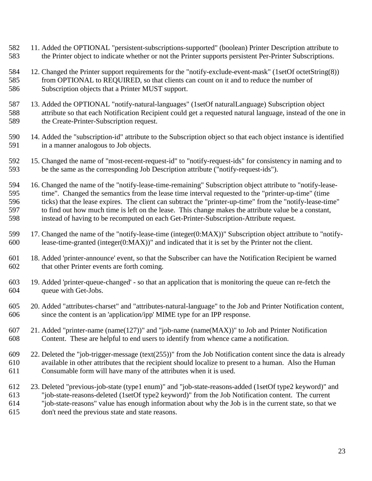- 11. Added the OPTIONAL "persistent-subscriptions-supported" (boolean) Printer Description attribute to the Printer object to indicate whether or not the Printer supports persistent Per-Printer Subscriptions.
- 12. Changed the Printer support requirements for the "notify-exclude-event-mask" (1setOf octetString(8)) from OPTIONAL to REQUIRED, so that clients can count on it and to reduce the number of Subscription objects that a Printer MUST support.
- 13. Added the OPTIONAL "notify-natural-languages" (1setOf naturalLanguage) Subscription object attribute so that each Notification Recipient could get a requested natural language, instead of the one in the Create-Printer-Subscription request.
- 14. Added the "subscription-id" attribute to the Subscription object so that each object instance is identified in a manner analogous to Job objects.
- 15. Changed the name of "most-recent-request-id" to "notify-request-ids" for consistency in naming and to be the same as the corresponding Job Description attribute ("notify-request-ids").
- 16. Changed the name of the "notify-lease-time-remaining" Subscription object attribute to "notify-lease- time". Changed the semantics from the lease time interval requested to the "printer-up-time" (time ticks) that the lease expires. The client can subtract the "printer-up-time" from the "notify-lease-time" to find out how much time is left on the lease. This change makes the attribute value be a constant, instead of having to be recomputed on each Get-Printer-Subscription-Attribute request.
- 17. Changed the name of the "notify-lease-time (integer(0:MAX))" Subscription object attribute to "notify-lease-time-granted (integer(0:MAX))" and indicated that it is set by the Printer not the client.
- 18. Added 'printer-announce' event, so that the Subscriber can have the Notification Recipient be warned that other Printer events are forth coming.
- 19. Added 'printer-queue-changed' so that an application that is monitoring the queue can re-fetch the queue with Get-Jobs.
- 20. Added "attributes-charset" and "attributes-natural-language" to the Job and Printer Notification content, since the content is an 'application/ipp' MIME type for an IPP response.
- 21. Added "printer-name (name(127))" and "job-name (name(MAX))" to Job and Printer Notification Content. These are helpful to end users to identify from whence came a notification.
- 22. Deleted the "job-trigger-message (text(255))" from the Job Notification content since the data is already available in other attributes that the recipient should localize to present to a human. Also the Human Consumable form will have many of the attributes when it is used.
- 23. Deleted "previous-job-state (type1 enum)" and "job-state-reasons-added (1setOf type2 keyword)" and "job-state-reasons-deleted (1setOf type2 keyword)" from the Job Notification content. The current "job-state-reasons" value has enough information about why the Job is in the current state, so that we don't need the previous state and state reasons.